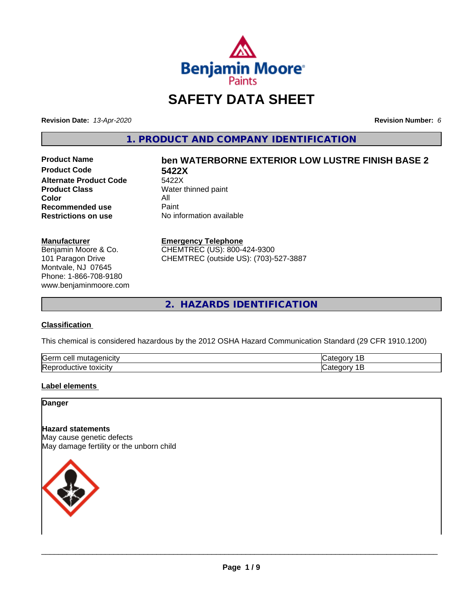

## **SAFETY DATA SHEET**

**Revision Date:** *13-Apr-2020* **Revision Number:** *6*

**1. PRODUCT AND COMPANY IDENTIFICATION**

**Product Code 5422X Alternate Product Code**<br>Product Class **Color** All<br> **Recommended use** Paint **Recommended use**<br>Restrictions on use

# **Product Name ben WATERBORNE EXTERIOR LOW LUSTRE FINISH BASE 2**

**Water thinned paint Restrictions on use** No information available

#### **Manufacturer**

Benjamin Moore & Co. 101 Paragon Drive Montvale, NJ 07645 Phone: 1-866-708-9180 www.benjaminmoore.com

#### **Emergency Telephone**

CHEMTREC (US): 800-424-9300 CHEMTREC (outside US): (703)-527-3887

**2. HAZARDS IDENTIFICATION**

#### **Classification**

This chemical is considered hazardous by the 2012 OSHA Hazard Communication Standard (29 CFR 1910.1200)

| Gern<br>.<br>cell<br>л |  |
|------------------------|--|
| lRer<br>.<br>эхкл      |  |

#### **Label elements**

**Danger**

#### **Hazard statements**

May cause genetic defects May damage fertility or the unborn child

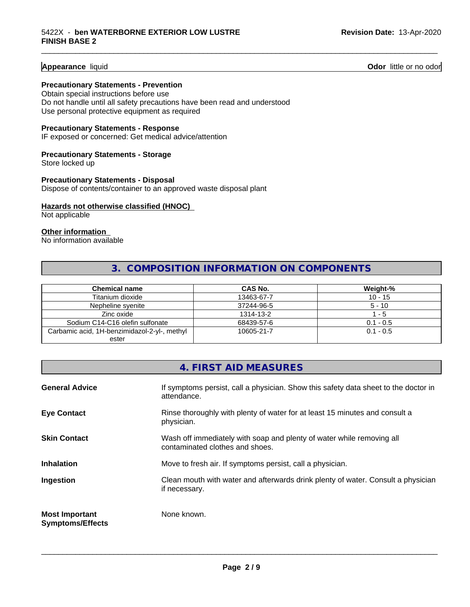**Appearance** liquid **Odor 11** Odor little or no odor

#### **Precautionary Statements - Prevention**

Obtain special instructions before use Do not handle until all safety precautions have been read and understood Use personal protective equipment as required

#### **Precautionary Statements - Response**

IF exposed or concerned: Get medical advice/attention

#### **Precautionary Statements - Storage**

Store locked up

#### **Precautionary Statements - Disposal** Dispose of contents/container to an approved waste disposal plant

#### **Hazards not otherwise classified (HNOC)**

Not applicable

#### **Other information**

No information available

### **3. COMPOSITION INFORMATION ON COMPONENTS**

\_\_\_\_\_\_\_\_\_\_\_\_\_\_\_\_\_\_\_\_\_\_\_\_\_\_\_\_\_\_\_\_\_\_\_\_\_\_\_\_\_\_\_\_\_\_\_\_\_\_\_\_\_\_\_\_\_\_\_\_\_\_\_\_\_\_\_\_\_\_\_\_\_\_\_\_\_\_\_\_\_\_\_\_\_\_\_\_\_\_\_\_\_

| <b>Chemical name</b>                         | CAS No.    | Weight-%    |
|----------------------------------------------|------------|-------------|
| Titanium dioxide                             | 13463-67-7 | $10 - 15$   |
| Nepheline syenite                            | 37244-96-5 | $5 - 10$    |
| Zinc oxide                                   | 1314-13-2  | $-5$        |
| Sodium C14-C16 olefin sulfonate              | 68439-57-6 | $0.1 - 0.5$ |
| Carbamic acid, 1H-benzimidazol-2-yl-, methyl | 10605-21-7 | $0.1 - 0.5$ |
| ester                                        |            |             |

|                                                  | 4. FIRST AID MEASURES                                                                                    |
|--------------------------------------------------|----------------------------------------------------------------------------------------------------------|
| <b>General Advice</b>                            | If symptoms persist, call a physician. Show this safety data sheet to the doctor in<br>attendance.       |
| <b>Eye Contact</b>                               | Rinse thoroughly with plenty of water for at least 15 minutes and consult a<br>physician.                |
| <b>Skin Contact</b>                              | Wash off immediately with soap and plenty of water while removing all<br>contaminated clothes and shoes. |
| <b>Inhalation</b>                                | Move to fresh air. If symptoms persist, call a physician.                                                |
| Ingestion                                        | Clean mouth with water and afterwards drink plenty of water. Consult a physician<br>if necessary.        |
| <b>Most Important</b><br><b>Symptoms/Effects</b> | None known.                                                                                              |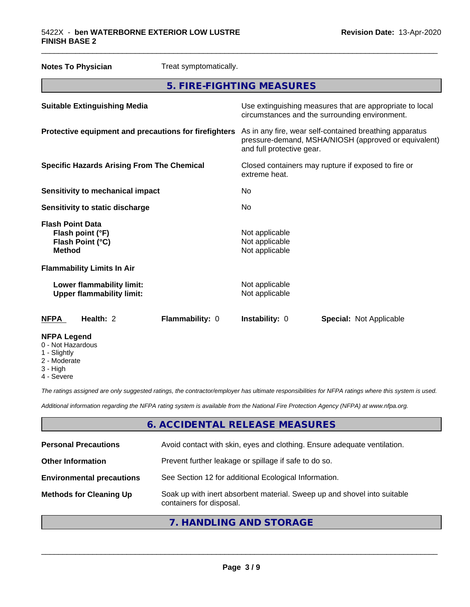| <b>Notes To Physician</b>                                                        | Treat symptomatically. |                                                                      |  |                                                                                                                 |
|----------------------------------------------------------------------------------|------------------------|----------------------------------------------------------------------|--|-----------------------------------------------------------------------------------------------------------------|
| 5. FIRE-FIGHTING MEASURES                                                        |                        |                                                                      |  |                                                                                                                 |
| <b>Suitable Extinguishing Media</b>                                              |                        | circumstances and the surrounding environment.                       |  | Use extinguishing measures that are appropriate to local                                                        |
| Protective equipment and precautions for firefighters                            |                        | and full protective gear.                                            |  | As in any fire, wear self-contained breathing apparatus<br>pressure-demand, MSHA/NIOSH (approved or equivalent) |
| <b>Specific Hazards Arising From The Chemical</b>                                |                        | Closed containers may rupture if exposed to fire or<br>extreme heat. |  |                                                                                                                 |
| <b>Sensitivity to mechanical impact</b>                                          |                        | No                                                                   |  |                                                                                                                 |
| Sensitivity to static discharge                                                  |                        | No                                                                   |  |                                                                                                                 |
| <b>Flash Point Data</b><br>Flash point (°F)<br>Flash Point (°C)<br><b>Method</b> |                        | Not applicable<br>Not applicable<br>Not applicable                   |  |                                                                                                                 |
| <b>Flammability Limits In Air</b>                                                |                        |                                                                      |  |                                                                                                                 |
| Lower flammability limit:<br><b>Upper flammability limit:</b>                    |                        | Not applicable<br>Not applicable                                     |  |                                                                                                                 |
| Health: 2<br><b>NFPA</b>                                                         | Flammability: 0        | Instability: 0                                                       |  | <b>Special: Not Applicable</b>                                                                                  |
| <b>NFPA Legend</b><br>0 - Not Hazardous                                          |                        |                                                                      |  |                                                                                                                 |

\_\_\_\_\_\_\_\_\_\_\_\_\_\_\_\_\_\_\_\_\_\_\_\_\_\_\_\_\_\_\_\_\_\_\_\_\_\_\_\_\_\_\_\_\_\_\_\_\_\_\_\_\_\_\_\_\_\_\_\_\_\_\_\_\_\_\_\_\_\_\_\_\_\_\_\_\_\_\_\_\_\_\_\_\_\_\_\_\_\_\_\_\_

- 1 Slightly
- 2 Moderate
- 3 High
- 4 Severe

*The ratings assigned are only suggested ratings, the contractor/employer has ultimate responsibilities for NFPA ratings where this system is used.*

*Additional information regarding the NFPA rating system is available from the National Fire Protection Agency (NFPA) at www.nfpa.org.*

#### **6. ACCIDENTAL RELEASE MEASURES**

| <b>Personal Precautions</b>      | Avoid contact with skin, eyes and clothing. Ensure adequate ventilation.                             |
|----------------------------------|------------------------------------------------------------------------------------------------------|
| <b>Other Information</b>         | Prevent further leakage or spillage if safe to do so.                                                |
| <b>Environmental precautions</b> | See Section 12 for additional Ecological Information.                                                |
| <b>Methods for Cleaning Up</b>   | Soak up with inert absorbent material. Sweep up and shovel into suitable<br>containers for disposal. |
|                                  |                                                                                                      |

#### **7. HANDLING AND STORAGE**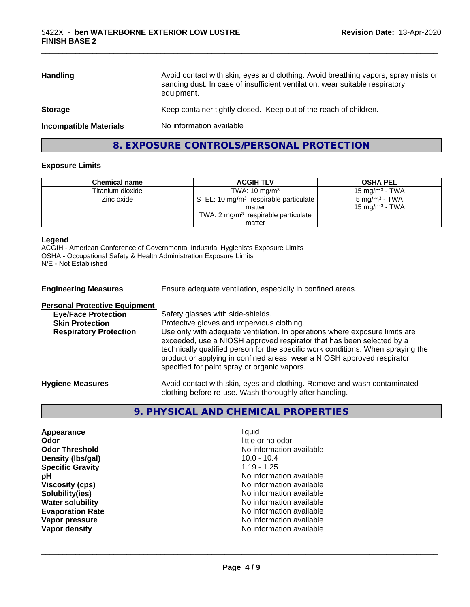| <b>Handling</b>               | Avoid contact with skin, eyes and clothing. Avoid breathing vapors, spray mists or<br>sanding dust. In case of insufficient ventilation, wear suitable respiratory<br>equipment. |
|-------------------------------|----------------------------------------------------------------------------------------------------------------------------------------------------------------------------------|
| <b>Storage</b>                | Keep container tightly closed. Keep out of the reach of children.                                                                                                                |
| <b>Incompatible Materials</b> | No information available                                                                                                                                                         |

\_\_\_\_\_\_\_\_\_\_\_\_\_\_\_\_\_\_\_\_\_\_\_\_\_\_\_\_\_\_\_\_\_\_\_\_\_\_\_\_\_\_\_\_\_\_\_\_\_\_\_\_\_\_\_\_\_\_\_\_\_\_\_\_\_\_\_\_\_\_\_\_\_\_\_\_\_\_\_\_\_\_\_\_\_\_\_\_\_\_\_\_\_

### **8. EXPOSURE CONTROLS/PERSONAL PROTECTION**

#### **Exposure Limits**

| <b>Chemical name</b> | <b>ACGIH TLV</b>                                  | <b>OSHA PEL</b>           |
|----------------------|---------------------------------------------------|---------------------------|
| Titanium dioxide     | TWA: $10 \text{ mg/m}^3$                          | 15 mg/m $3$ - TWA         |
| Zinc oxide           | STEL: 10 mg/m <sup>3</sup> respirable particulate | $5 \text{ mg/m}^3$ - TWA  |
|                      | matter                                            | $15 \text{ mg/m}^3$ - TWA |
|                      | TWA: $2 \text{ mg/m}^3$ respirable particulate    |                           |
|                      | matter                                            |                           |

#### **Legend**

ACGIH - American Conference of Governmental Industrial Hygienists Exposure Limits OSHA - Occupational Safety & Health Administration Exposure Limits N/E - Not Established

| <b>Engineering Measures</b>          | Ensure adequate ventilation, especially in confined areas.                                                                                                                                                                                                                                                                                                          |
|--------------------------------------|---------------------------------------------------------------------------------------------------------------------------------------------------------------------------------------------------------------------------------------------------------------------------------------------------------------------------------------------------------------------|
| <b>Personal Protective Equipment</b> |                                                                                                                                                                                                                                                                                                                                                                     |
| <b>Eye/Face Protection</b>           | Safety glasses with side-shields.                                                                                                                                                                                                                                                                                                                                   |
| <b>Skin Protection</b>               | Protective gloves and impervious clothing.                                                                                                                                                                                                                                                                                                                          |
| <b>Respiratory Protection</b>        | Use only with adequate ventilation. In operations where exposure limits are<br>exceeded, use a NIOSH approved respirator that has been selected by a<br>technically qualified person for the specific work conditions. When spraying the<br>product or applying in confined areas, wear a NIOSH approved respirator<br>specified for paint spray or organic vapors. |
| <b>Hygiene Measures</b>              | Avoid contact with skin, eyes and clothing. Remove and wash contaminated<br>clothing before re-use. Wash thoroughly after handling.                                                                                                                                                                                                                                 |

### **9. PHYSICAL AND CHEMICAL PROPERTIES**

| Appearance              |
|-------------------------|
| Odor                    |
| <b>Odor Threshold</b>   |
| Density (Ibs/gal)       |
| <b>Specific Gravity</b> |
| рH                      |
| <b>Viscosity (cps)</b>  |
| Solubility(ies)         |
| <b>Water solubility</b> |
| <b>Evaporation Rate</b> |
| Vapor pressure          |
| Vapor density           |

**Appearance** and the contract of the contract of the contract of the contract of the contract of the contract of the contract of the contract of the contract of the contract of the contract of the contract of the contract little or no odor **No information available** 10.0 - 10.4 **Specific Gravity** 1.19 - 1.25 **No information available Viscosity (cps)** No information available **No information available No information available Evaporation Rate** No information available **No information available No information available**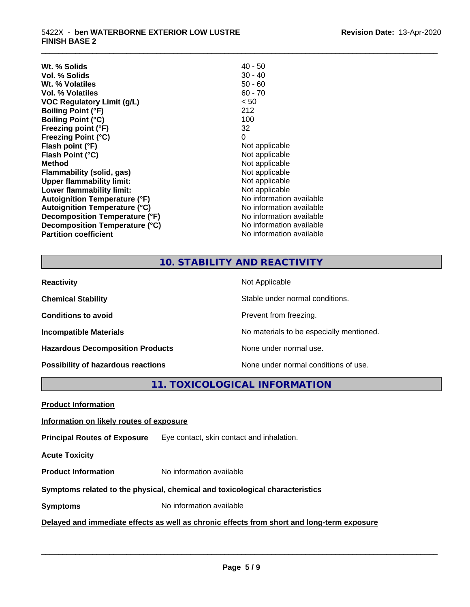| Wt. % Solids                         | $40 - 50$                |
|--------------------------------------|--------------------------|
| Vol. % Solids                        | $30 - 40$                |
| Wt. % Volatiles                      | $50 - 60$                |
| Vol. % Volatiles                     | $60 - 70$                |
| <b>VOC Regulatory Limit (g/L)</b>    | < 50                     |
| <b>Boiling Point (°F)</b>            | 212                      |
| <b>Boiling Point (°C)</b>            | 100                      |
| Freezing point (°F)                  | 32                       |
| <b>Freezing Point (°C)</b>           | 0                        |
| Flash point (°F)                     | Not applicable           |
| Flash Point (°C)                     | Not applicable           |
| <b>Method</b>                        | Not applicable           |
| Flammability (solid, gas)            | Not applicable           |
| <b>Upper flammability limit:</b>     | Not applicable           |
| Lower flammability limit:            | Not applicable           |
| <b>Autoignition Temperature (°F)</b> | No information available |
| <b>Autoignition Temperature (°C)</b> | No information available |
| Decomposition Temperature (°F)       | No information available |
| Decomposition Temperature (°C)       | No information available |
| <b>Partition coefficient</b>         | No information available |
|                                      |                          |

## **10. STABILITY AND REACTIVITY**

\_\_\_\_\_\_\_\_\_\_\_\_\_\_\_\_\_\_\_\_\_\_\_\_\_\_\_\_\_\_\_\_\_\_\_\_\_\_\_\_\_\_\_\_\_\_\_\_\_\_\_\_\_\_\_\_\_\_\_\_\_\_\_\_\_\_\_\_\_\_\_\_\_\_\_\_\_\_\_\_\_\_\_\_\_\_\_\_\_\_\_\_\_

| <b>Reactivity</b>                       | Not Applicable                           |
|-----------------------------------------|------------------------------------------|
| <b>Chemical Stability</b>               | Stable under normal conditions.          |
| <b>Conditions to avoid</b>              | Prevent from freezing.                   |
| <b>Incompatible Materials</b>           | No materials to be especially mentioned. |
| <b>Hazardous Decomposition Products</b> | None under normal use.                   |
| Possibility of hazardous reactions      | None under normal conditions of use.     |

**11. TOXICOLOGICAL INFORMATION**

**Product Information**

#### **Information on likely routes of exposure**

**Principal Routes of Exposure** Eye contact, skin contact and inhalation.

**Acute Toxicity** 

**Product Information** No information available

#### **Symptoms related to the physical,chemical and toxicological characteristics**

**Symptoms** No information available

#### **Delayed and immediate effects as well as chronic effects from short and long-term exposure**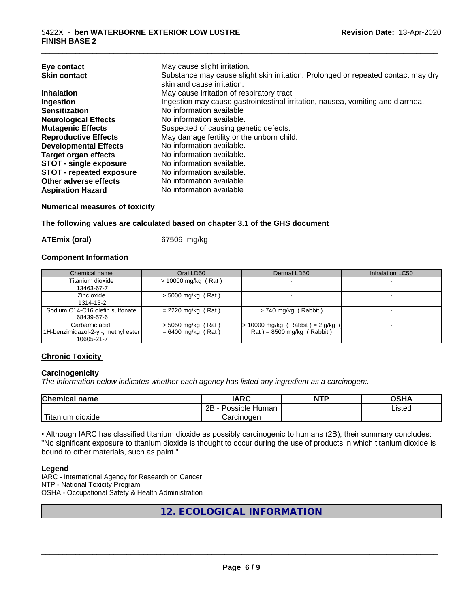| May cause slight irritation.<br>Eye contact<br>Substance may cause slight skin irritation. Prolonged or repeated contact may dry<br><b>Skin contact</b> |  |
|---------------------------------------------------------------------------------------------------------------------------------------------------------|--|
| skin and cause irritation.                                                                                                                              |  |
|                                                                                                                                                         |  |
| May cause irritation of respiratory tract.<br><b>Inhalation</b>                                                                                         |  |
| Ingestion may cause gastrointestinal irritation, nausea, vomiting and diarrhea.<br>Ingestion                                                            |  |
| No information available<br><b>Sensitization</b>                                                                                                        |  |
| No information available.<br><b>Neurological Effects</b>                                                                                                |  |
| Suspected of causing genetic defects.<br><b>Mutagenic Effects</b>                                                                                       |  |
| May damage fertility or the unborn child.<br><b>Reproductive Effects</b>                                                                                |  |
| No information available.<br><b>Developmental Effects</b>                                                                                               |  |
| No information available.<br><b>Target organ effects</b>                                                                                                |  |
| <b>STOT - single exposure</b><br>No information available.                                                                                              |  |
| <b>STOT - repeated exposure</b><br>No information available.                                                                                            |  |
| Other adverse effects<br>No information available.                                                                                                      |  |
| No information available<br><b>Aspiration Hazard</b>                                                                                                    |  |

#### **Numerical measures of toxicity**

**The following values are calculated based on chapter 3.1 of the GHS document**

**ATEmix (oral)** 67509 mg/kg

#### **Component Information**

| Chemical name                         | Oral LD50             | Dermal LD50                         | Inhalation LC50 |
|---------------------------------------|-----------------------|-------------------------------------|-----------------|
| Titanium dioxide                      | $> 10000$ mg/kg (Rat) |                                     |                 |
| 13463-67-7                            |                       |                                     |                 |
| Zinc oxide                            | $> 5000$ mg/kg (Rat)  |                                     |                 |
| 1314-13-2                             |                       |                                     |                 |
| Sodium C14-C16 olefin sulfonate       | $= 2220$ mg/kg (Rat)  | $> 740$ mg/kg (Rabbit)              |                 |
| 68439-57-6                            |                       |                                     |                 |
| Carbamic acid.                        | $>$ 5050 mg/kg (Rat)  | $> 10000$ mg/kg (Rabbit) = 2 g/kg ( |                 |
| [1H-benzimidazol-2-yl-, methyl ester] | $= 6400$ mg/kg (Rat)  | $Rat$ = 8500 mg/kg (Rabbit)         |                 |
| 10605-21-7                            |                       |                                     |                 |

#### **Chronic Toxicity**

#### **Carcinogenicity**

*The information below indicateswhether each agency has listed any ingredient as a carcinogen:.*

| <b>Chemical</b><br>name            | <b>IARC</b>                                | <b>NTP</b> | ດເ⊔າ<br>∪אח |
|------------------------------------|--------------------------------------------|------------|-------------|
|                                    | .<br>クロ<br>Human<br>Possible<br><u>_ _</u> |            | ∟isted      |
| .<br><br>dioxide<br><b>itanium</b> | Carcinogen                                 |            |             |

• Although IARC has classified titanium dioxide as possibly carcinogenic to humans (2B), their summary concludes: "No significant exposure to titanium dioxide is thought to occur during the use of products in which titanium dioxide is bound to other materials, such as paint."

#### **Legend**

IARC - International Agency for Research on Cancer NTP - National Toxicity Program OSHA - Occupational Safety & Health Administration

**12. ECOLOGICAL INFORMATION**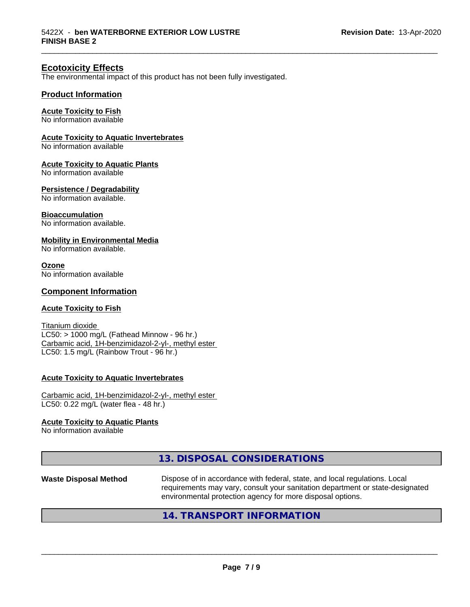#### **Ecotoxicity Effects**

The environmental impact of this product has not been fully investigated.

#### **Product Information**

#### **Acute Toxicity to Fish**

No information available

#### **Acute Toxicity to Aquatic Invertebrates**

No information available

#### **Acute Toxicity to Aquatic Plants**

No information available

#### **Persistence / Degradability**

No information available.

#### **Bioaccumulation**

No information available.

#### **Mobility in Environmental Media**

No information available.

#### **Ozone**

No information available

#### **Component Information**

#### **Acute Toxicity to Fish**

Titanium dioxide  $LC50:$  > 1000 mg/L (Fathead Minnow - 96 hr.) Carbamic acid, 1H-benzimidazol-2-yl-, methyl ester LC50: 1.5 mg/L (Rainbow Trout - 96 hr.)

#### **Acute Toxicity to Aquatic Invertebrates**

Carbamic acid, 1H-benzimidazol-2-yl-, methyl ester LC50: 0.22 mg/L (water flea - 48 hr.)

#### **Acute Toxicity to Aquatic Plants**

No information available

#### **13. DISPOSAL CONSIDERATIONS**

**Waste Disposal Method** Dispose of in accordance with federal, state, and local regulations. Local requirements may vary, consult your sanitation department or state-designated environmental protection agency for more disposal options.

 $\overline{\phantom{a}}$  ,  $\overline{\phantom{a}}$  ,  $\overline{\phantom{a}}$  ,  $\overline{\phantom{a}}$  ,  $\overline{\phantom{a}}$  ,  $\overline{\phantom{a}}$  ,  $\overline{\phantom{a}}$  ,  $\overline{\phantom{a}}$  ,  $\overline{\phantom{a}}$  ,  $\overline{\phantom{a}}$  ,  $\overline{\phantom{a}}$  ,  $\overline{\phantom{a}}$  ,  $\overline{\phantom{a}}$  ,  $\overline{\phantom{a}}$  ,  $\overline{\phantom{a}}$  ,  $\overline{\phantom{a}}$ 

\_\_\_\_\_\_\_\_\_\_\_\_\_\_\_\_\_\_\_\_\_\_\_\_\_\_\_\_\_\_\_\_\_\_\_\_\_\_\_\_\_\_\_\_\_\_\_\_\_\_\_\_\_\_\_\_\_\_\_\_\_\_\_\_\_\_\_\_\_\_\_\_\_\_\_\_\_\_\_\_\_\_\_\_\_\_\_\_\_\_\_\_\_

#### **14. TRANSPORT INFORMATION**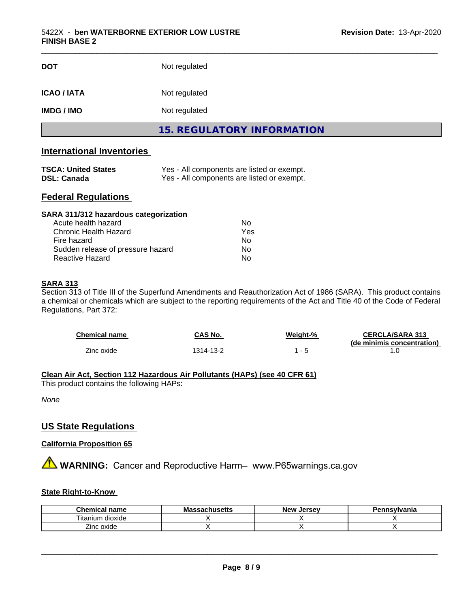| <b>DOT</b>        | Not regulated                     |  |
|-------------------|-----------------------------------|--|
| <b>ICAO/IATA</b>  | Not regulated                     |  |
| <b>IMDG / IMO</b> | Not regulated                     |  |
|                   | <b>15. REGULATORY INFORMATION</b> |  |

#### **International Inventories**

| <b>TSCA: United States</b> | Yes - All components are listed or exempt. |
|----------------------------|--------------------------------------------|
| DSL: Canada                | Yes - All components are listed or exempt. |

#### **Federal Regulations**

| SARA 311/312 hazardous categorization |     |  |
|---------------------------------------|-----|--|
| Acute health hazard                   | Nο  |  |
| Chronic Health Hazard                 | Yes |  |
| Fire hazard                           | Nο  |  |
| Sudden release of pressure hazard     | No  |  |
| Reactive Hazard                       | No  |  |

#### **SARA 313**

Section 313 of Title III of the Superfund Amendments and Reauthorization Act of 1986 (SARA). This product contains a chemical or chemicals which are subject to the reporting requirements of the Act and Title 40 of the Code of Federal Regulations, Part 372:

| Chemical name | CAS No.  | Weight-% | <b>CERCLA/SARA 313</b><br>(de minimis concentration) |
|---------------|----------|----------|------------------------------------------------------|
| Zinc oxide    | 314-13-2 | - 5      |                                                      |

#### **Clean Air Act,Section 112 Hazardous Air Pollutants (HAPs) (see 40 CFR 61)**

This product contains the following HAPs:

*None*

#### **US State Regulations**

#### **California Proposition 65**

**A** WARNING: Cancer and Reproductive Harm– www.P65warnings.ca.gov

#### **State Right-to-Know**

| <b>Chemical name</b>               | Massachusetts | . Jersev<br><b>New</b> | ennsvlvania |
|------------------------------------|---------------|------------------------|-------------|
| . .<br>l itanium<br><b>dioxide</b> |               |                        |             |
| $- \cdot$<br>Zinc oxide            |               |                        |             |